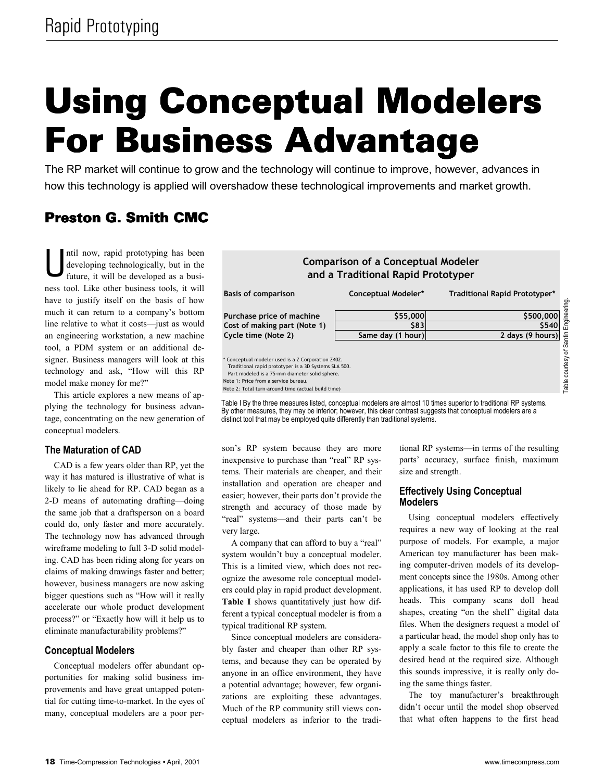# **Using Conceptual Modelers For Business Advantage**

The RP market will continue to grow and the technology will continue to improve, however, advances in how this technology is applied will overshadow these technological improvements and market growth.

# **Preston G. Smith CMC**

ntil now, rapid prototyping has been developing technologically, but in the future, it will be developed as a business tool. Like other business tools, it will have to justify itself on the basis of how much it can return to a company's bottom line relative to what it costs-just as would an engineering workstation, a new machine tool, a PDM system or an additional designer. Business managers will look at this technology and ask, "How will this RP model make money for me?"

This article explores a new means of applying the technology for business advantage, concentrating on the new generation of conceptual modelers.

# **The Maturation of CAD**

CAD is a few years older than RP, yet the way it has matured is illustrative of what is likely to lie ahead for RP. CAD began as a 2-D means of automating drafting—doing the same job that a draftsperson on a board could do, only faster and more accurately. The technology now has advanced through wireframe modeling to full 3-D solid modeling. CAD has been riding along for years on claims of making drawings faster and better; however, business managers are now asking bigger questions such as "How will it really accelerate our whole product development process?" or "Exactly how will it help us to eliminate manufacturability problems?"

# **Conceptual Modelers**

Conceptual modelers offer abundant opportunities for making solid business improvements and have great untapped potential for cutting time-to-market. In the eyes of many, conceptual modelers are a poor per-



Note 2: Total turn-around time (actual build time)

Table I By the three measures listed, conceptual modelers are almost 10 times superior to traditional RP systems. By other measures, they may be inferior; however, this clear contrast suggests that conceptual modelers are a distinct tool that may be employed quite differently than traditional systems.

son's RP system because they are more inexpensive to purchase than "real" RP systems. Their materials are cheaper, and their installation and operation are cheaper and easier; however, their parts don't provide the strength and accuracy of those made by "real" systems-and their parts can't be very large.

A company that can afford to buy a "real" system wouldn't buy a conceptual modeler. This is a limited view, which does not recognize the awesome role conceptual modelers could play in rapid product development. Table I shows quantitatively just how different a typical conceptual modeler is from a typical traditional RP system.

Since conceptual modelers are considerably faster and cheaper than other RP systems, and because they can be operated by anyone in an office environment, they have a potential advantage; however, few organizations are exploiting these advantages. Much of the RP community still views conceptual modelers as inferior to the traditional RP systems—in terms of the resulting parts' accuracy, surface finish, maximum size and strength.

# **Effectively Using Conceptual Modelers**

Using conceptual modelers effectively requires a new way of looking at the real purpose of models. For example, a major American toy manufacturer has been making computer-driven models of its development concepts since the 1980s. Among other applications, it has used RP to develop doll heads. This company scans doll head shapes, creating "on the shelf" digital data files. When the designers request a model of a particular head, the model shop only has to apply a scale factor to this file to create the desired head at the required size. Although this sounds impressive, it is really only doing the same things faster.

The toy manufacturer's breakthrough didn't occur until the model shop observed that what often happens to the first head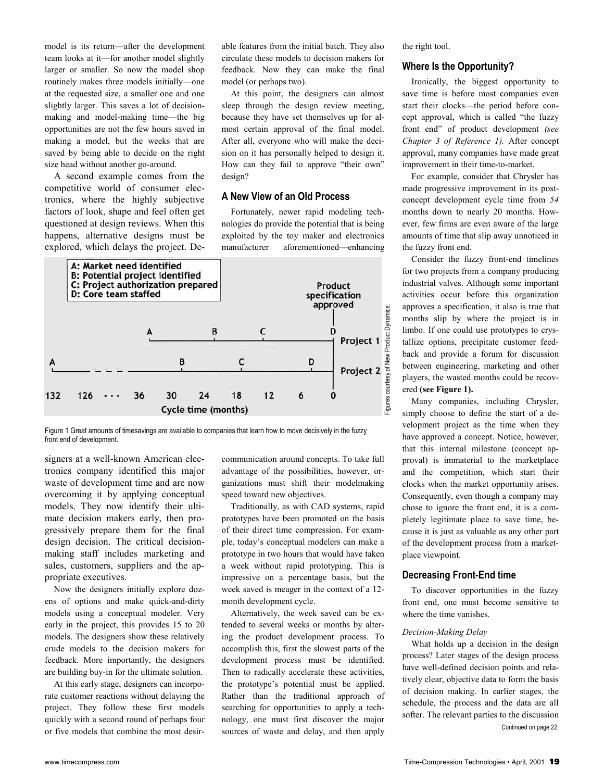model is its return—after the development team looks at it-for another model slightly larger or smaller. So now the model shop routinely makes three models initially—one at the requested size, a smaller one and one slightly larger. This saves a lot of decisionmaking and model-making time—the big opportunities are not the few hours saved in making a model, but the weeks that are saved by being able to decide on the right size head without another go-around.

A second example comes from the competitive world of consumer electronics, where the highly subjective factors of look, shape and feel often get questioned at design reviews. When this happens, alternative designs must be explored, which delays the project. Deable features from the initial batch. They also circulate these models to decision makers for feedback. Now they can make the final model (or perhaps two).

At this point, the designers can almost sleep through the design review meeting, because they have set themselves up for almost certain approval of the final model. After all, everyone who will make the decision on it has personally helped to design it. How can they fail to approve "their own" design?

# **A New View of an Old Process**

Fortunately, newer rapid modeling technologies do provide the potential that is being exploited by the toy maker and electronics manufacturer aforementioned—enhancing



Figure 1 Great amounts of timesavings are available to companies that learn how to move decisively in the fuzzy front end of development.

signers at a well-known American electronics company identified this major waste of development time and are now overcoming it by applying conceptual models. They now identify their ultimate decision makers early, then progressively prepare them for the final design decision. The critical decisionmaking staff includes marketing and sales, customers, suppliers and the appropriate executives.

Now the designers initially explore dozens of options and make quick-and-dirty models using a conceptual modeler. Very early in the project, this provides 15 to 20 models. The designers show these relatively crude models to the decision makers for feedback. More importantly, the designers are building buy-in for the ultimate solution.

At this early stage, designers can incorporate customer reactions without delaying the project. They follow these first models quickly with a second round of perhaps four or five models that combine the most desircommunication around concepts. To take full advantage of the possibilities, however, organizations must shift their modelmaking speed toward new objectives.

Traditionally, as with CAD systems, rapid prototypes have been promoted on the basis of their direct time compression. For example, today's conceptual modelers can make a prototype in two hours that would have taken a week without rapid prototyping. This is impressive on a percentage basis, but the week saved is meager in the context of a 12 month development cycle.

Alternatively, the week saved can be extended to several weeks or months by altering the product development process. To accomplish this, first the slowest parts of the development process must be identified. Then to radically accelerate these activities, the prototype's potential must be applied. Rather than the traditional approach of searching for opportunities to apply a technology, one must first discover the major sources of waste and delay, and then apply

the right tool.

# **Where Is the Opportunity?**

Ironically, the biggest opportunity to save time is before most companies even start their clocks—the period before concept approval, which is called "the fuzzy" front end" of product development (see *Chapter 3 of Reference 1).* After concept approval, many companies have made great improvement in their time-to-market.

For example, consider that Chrysler has made progressive improvement in its postconcept development cycle time from *54*  months down to nearly 20 months. However, few firms are even aware of the large amounts of time that slip away unnoticed in the fuzzy front end.

Consider the fuzzy front-end timelines for two projects from a company producing industrial valves. Although some important activities occur before this organization approves a specification, it also is true that months slip by where the project is in limbo. If one could use prototypes to crystallize options, precipitate customer feedback and provide a forum for discussion between engineering, marketing and other players, the wasted months could be recovered **(see Figure 1).** 

Many companies, including Chrysler, simply choose to define the start of a development project as the time when they have approved a concept. Notice, however, that this internal milestone (concept approval) is immaterial to the marketplace and the competition, which start their clocks when the market opportunity arises. Consequently, even though a company may chose to ignore the front end, it is a completely legitimate place to save time, because it is just as valuable as any other part of the development process from a marketplace viewpoint.

# **Decreasing Front-End time**

To discover opportunities in the fuzzy front end, one must become sensitive to where the time vanishes.

#### *Decision-Making Delay*

What holds up a decision in the design process? Later stages of the design process have well-defined decision points and relatively clear, objective data to form the basis of decision making. In earlier stages, the schedule, the process and the data are all softer. The relevant parties to the discussion Continued on page 22.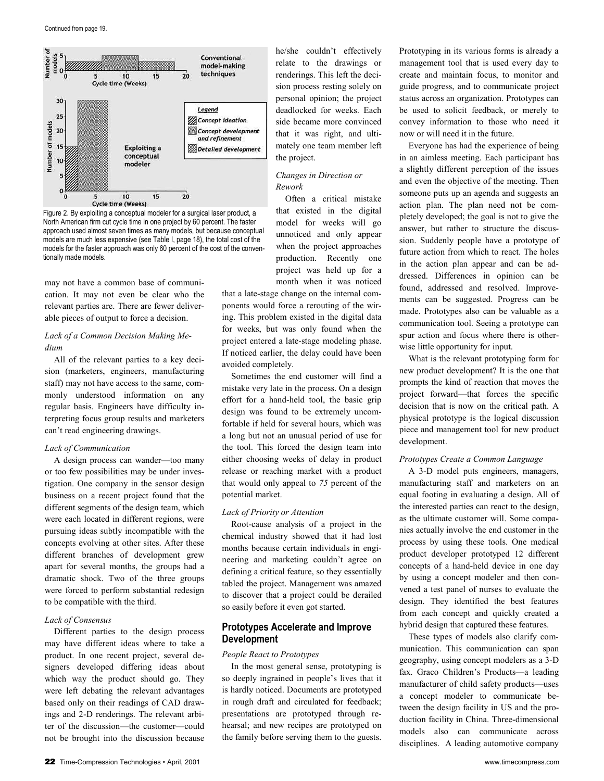



may not have a common base of communication. It may not even be clear who the relevant parties are. There are fewer deliverable pieces of output to force a decision.

# *Lack of a Common Decision Making Medium*

All of the relevant parties to a key decision (marketers, engineers, manufacturing staff) may not have access to the same, commonly understood information on any regular basis. Engineers have difficulty interpreting focus group results and marketers can't read engineering drawings.

#### *Lack of Communication*

A design process can wander-too many or too few possibilities may be under investigation. One company in the sensor design business on a recent project found that the different segments of the design team, which were each located in different regions, were pursuing ideas subtly incompatible with the concepts evolving at other sites. After these different branches of development grew apart for several months, the groups had a dramatic shock. Two of the three groups were forced to perform substantial redesign to be compatible with the third.

#### *Lack of Consensus*

Different parties to the design process may have different ideas where to take a product. In one recent project, several designers developed differing ideas about which way the product should go. They were left debating the relevant advantages based only on their readings of CAD drawings and 2-D renderings. The relevant arbiter of the discussion-the customer-could not be brought into the discussion because he/she couldn't effectively relate to the drawings or renderings. This left the decision process resting solely on personal opinion; the project deadlocked for weeks. Each side became more convinced that it was right, and ultimately one team member left the project.

## *Changes in Direction or Rework*

Often a critical mistake that existed in the digital model for weeks will go unnoticed and only appear when the project approaches production. Recently one project was held up for a month when it was noticed

that a late-stage change on the internal components would force a rerouting of the wiring. This problem existed in the digital data for weeks, but was only found when the project entered a late-stage modeling phase. If noticed earlier, the delay could have been avoided completely.

Sometimes the end customer will find a mistake very late in the process. On a design effort for a hand-held tool, the basic grip design was found to be extremely uncomfortable if held for several hours, which was a long but not an unusual period of use for the tool. This forced the design team into either choosing weeks of delay in product release or reaching market with a product that would only appeal to *75* percent of the potential market.

#### *Lack of Priority or Attention*

Root-cause analysis of a project in the chemical industry showed that it had lost months because certain individuals in engineering and marketing couldn't agree on defining a critical feature, so they essentially tabled the project. Management was amazed to discover that a project could be derailed so easily before it even got started.

# **Prototypes Accelerate and Improve Development**

#### *People React to Prototypes*

In the most general sense, prototyping is so deeply ingrained in people's lives that it is hardly noticed. Documents are prototyped in rough draft and circulated for feedback; presentations are prototyped through rehearsal; and new recipes are prototyped on the family before serving them to the guests.

Prototyping in its various forms is already a management tool that is used every day to create and maintain focus, to monitor and guide progress, and to communicate project status across an organization. Prototypes can be used to solicit feedback, or merely to convey information to those who need it now or will need it in the future.

Everyone has had the experience of being in an aimless meeting. Each participant has a slightly different perception of the issues and even the objective of the meeting. Then someone puts up an agenda and suggests an action plan. The plan need not be completely developed; the goal is not to give the answer, but rather to structure the discussion. Suddenly people have a prototype of future action from which to react. The holes in the action plan appear and can be addressed. Differences in opinion can be found, addressed and resolved. Improvements can be suggested. Progress can be made. Prototypes also can be valuable as a communication tool. Seeing a prototype can spur action and focus where there is otherwise little opportunity for input.

What is the relevant prototyping form for new product development? It is the one that prompts the kind of reaction that moves the project forward—that forces the specific decision that is now on the critical path. A physical prototype is the logical discussion piece and management tool for new product development.

#### *Prototypes Create a Common Language*

A 3-D model puts engineers, managers, manufacturing staff and marketers on an equal footing in evaluating a design. All of the interested parties can react to the design, as the ultimate customer will. Some companies actually involve the end customer in the process by using these tools. One medical product developer prototyped 12 different concepts of a hand-held device in one day by using a concept modeler and then convened a test panel of nurses to evaluate the design. They identified the best features from each concept and quickly created a hybrid design that captured these features.

These types of models also clarify communication. This communication can span geography, using concept modelers as a 3-D fax. Graco Children's Products—a leading manufacturer of child safety products-uses a concept modeler to communicate between the design facility in US and the production facility in China. Three-dimensional models also can communicate across disciplines. A leading automotive company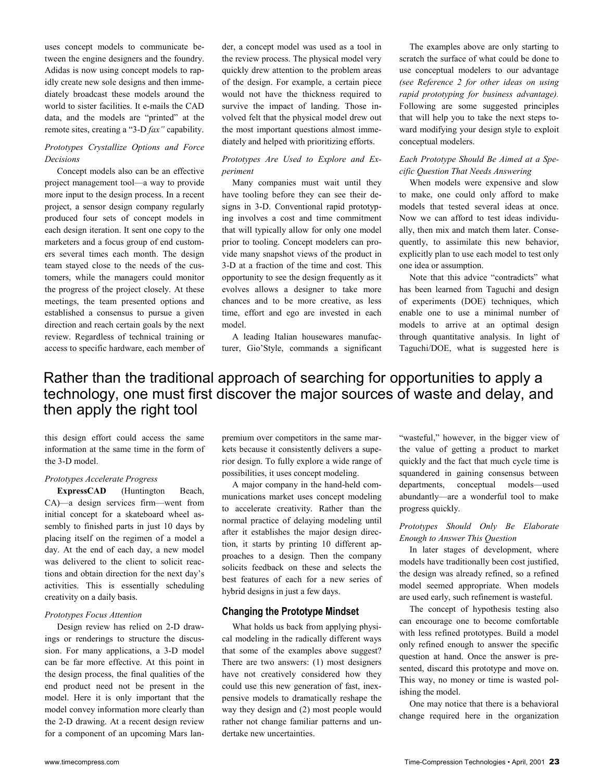uses concept models to communicate between the engine designers and the foundry. Adidas is now using concept models to rapidly create new sole designs and then immediately broadcast these models around the world to sister facilities. It e-mails the CAD data, and the models are "printed" at the remote sites, creating a "3-D *fax*" capability.

# *Prototypes Crystallize Options and Force Decisions*

Concept models also can be an effective project management tool—a way to provide more input to the design process. In a recent project, a sensor design company regularly produced four sets of concept models in each design iteration. It sent one copy to the marketers and a focus group of end customers several times each month. The design team stayed close to the needs of the customers, while the managers could monitor the progress of the project closely. At these meetings, the team presented options and established a consensus to pursue a given direction and reach certain goals by the next review. Regardless of technical training or access to specific hardware, each member of der, a concept model was used as a tool in the review process. The physical model very quickly drew attention to the problem areas of the design. For example, a certain piece would not have the thickness required to survive the impact of landing. Those involved felt that the physical model drew out the most important questions almost immediately and helped with prioritizing efforts.

# *Prototypes Are Used to Explore and Experiment*

Many companies must wait until they have tooling before they can see their designs in 3-D. Conventional rapid prototyping involves a cost and time commitment that will typically allow for only one model prior to tooling. Concept modelers can provide many snapshot views of the product in 3-D at a fraction of the time and cost. This opportunity to see the design frequently as it evolves allows a designer to take more chances and to be more creative, as less time, effort and ego are invested in each model.

A leading Italian housewares manufacturer, Gio'Style, commands a significant

The examples above are only starting to scratch the surface of what could be done to use conceptual modelers to our advantage *(see Reference 2 for other ideas on using rapid prototyping for business advantage).*  Following are some suggested principles that will help you to take the next steps toward modifying your design style to exploit conceptual modelers.

# *Each Prototype Should Be Aimed at a Specific Question That Needs Answering*

When models were expensive and slow to make, one could only afford to make models that tested several ideas at once. Now we can afford to test ideas individually, then mix and match them later. Consequently, to assimilate this new behavior, explicitly plan to use each model to test only one idea or assumption.

Note that this advice "contradicts" what has been learned from Taguchi and design of experiments (DOE) techniques, which enable one to use a minimal number of models to arrive at an optimal design through quantitative analysis. In light of Taguchi/DOE, what is suggested here is

# Rather than the traditional approach of searching for opportunities to apply a technology, one must first discover the major sources of waste and delay, and then apply the right tool

this design effort could access the same information at the same time in the form of the 3-D model.

#### *Prototypes Accelerate Progress*

**ExpressCAD** (Huntington Beach, CA)—a design services firm—went from initial concept for a skateboard wheel assembly to finished parts in just 10 days by placing itself on the regimen of a model a day. At the end of each day, a new model was delivered to the client to solicit reactions and obtain direction for the next day's activities. This is essentially scheduling creativity on a daily basis.

#### *Prototypes Focus Attention*

Design review has relied on 2-D drawings or renderings to structure the discussion. For many applications, a 3-D model can be far more effective. At this point in the design process, the final qualities of the end product need not be present in the model. Here it is only important that the model convey information more clearly than the 2-D drawing. At a recent design review for a component of an upcoming Mars lanpremium over competitors in the same markets because it consistently delivers a superior design. To fully explore a wide range of possibilities, it uses concept modeling.

A major company in the hand-held communications market uses concept modeling to accelerate creativity. Rather than the normal practice of delaying modeling until after it establishes the major design direction, it starts by printing 10 different approaches to a design. Then the company solicits feedback on these and selects the best features of each for a new series of hybrid designs in just a few days.

# **Changing the Prototype Mindset**

What holds us back from applying physical modeling in the radically different ways that some of the examples above suggest? There are two answers: (1) most designers have not creatively considered how they could use this new generation of fast, inexpensive models to dramatically reshape the way they design and (2) most people would rather not change familiar patterns and undertake new uncertainties.

"wasteful," however, in the bigger view of the value of getting a product to market quickly and the fact that much cycle time is squandered in gaining consensus between departments, conceptual models—used abundantly—are a wonderful tool to make progress quickly.

# *Prototypes Should Only Be Elaborate Enough to Answer This Question*

In later stages of development, where models have traditionally been cost justified, the design was already refined, so a refined model seemed appropriate. When models are used early, such refinement is wasteful.

The concept of hypothesis testing also can encourage one to become comfortable with less refined prototypes. Build a model only refined enough to answer the specific question at hand. Once the answer is presented, discard this prototype and move on. This way, no money or time is wasted polishing the model.

One may notice that there is a behavioral change required here in the organization